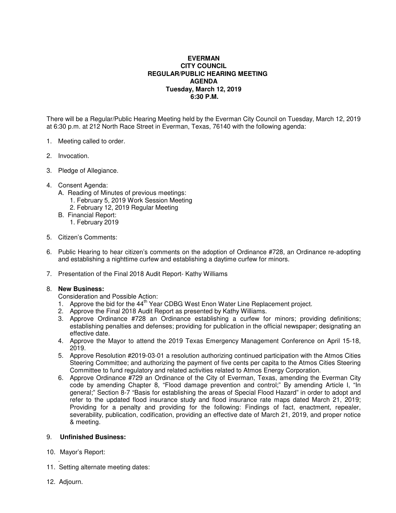## **EVERMAN CITY COUNCIL REGULAR/PUBLIC HEARING MEETING AGENDA Tuesday, March 12, 2019 6:30 P.M.**

There will be a Regular/Public Hearing Meeting held by the Everman City Council on Tuesday, March 12, 2019 at 6:30 p.m. at 212 North Race Street in Everman, Texas, 76140 with the following agenda:

- 1. Meeting called to order.
- 2. Invocation.
- 3. Pledge of Allegiance.
- 4. Consent Agenda:
	- A. Reading of Minutes of previous meetings:
		- 1. February 5, 2019 Work Session Meeting
		- 2. February 12, 2019 Regular Meeting
	- B. Financial Report:
		- 1. February 2019
- 5. Citizen's Comments:
- 6. Public Hearing to hear citizen's comments on the adoption of Ordinance #728, an Ordinance re-adopting and establishing a nighttime curfew and establishing a daytime curfew for minors.
- 7. Presentation of the Final 2018 Audit Report- Kathy Williams

## 8. **New Business:**

- Consideration and Possible Action:
- 1. Approve the bid for the 44<sup>th</sup> Year CDBG West Enon Water Line Replacement project.
- 2. Approve the Final 2018 Audit Report as presented by Kathy Williams.
- 3. Approve Ordinance #728 an Ordinance establishing a curfew for minors; providing definitions; establishing penalties and defenses; providing for publication in the official newspaper; designating an effective date.
- 4. Approve the Mayor to attend the 2019 Texas Emergency Management Conference on April 15-18, 2019.
- 5. Approve Resolution #2019-03-01 a resolution authorizing continued participation with the Atmos Cities Steering Committee; and authorizing the payment of five cents per capita to the Atmos Cities Steering Committee to fund regulatory and related activities related to Atmos Energy Corporation.
- 6. Approve Ordinance #729 an Ordinance of the City of Everman, Texas, amending the Everman City code by amending Chapter 8, "Flood damage prevention and control;" By amending Article I, "In general;" Section 8-7 "Basis for establishing the areas of Special Flood Hazard" in order to adopt and refer to the updated flood insurance study and flood insurance rate maps dated March 21, 2019; Providing for a penalty and providing for the following: Findings of fact, enactment, repealer, severability, publication, codification, providing an effective date of March 21, 2019, and proper notice & meeting.

## 9. **Unfinished Business:**

- 10. Mayor's Report:
- . 11. Setting alternate meeting dates:
- 12. Adjourn.